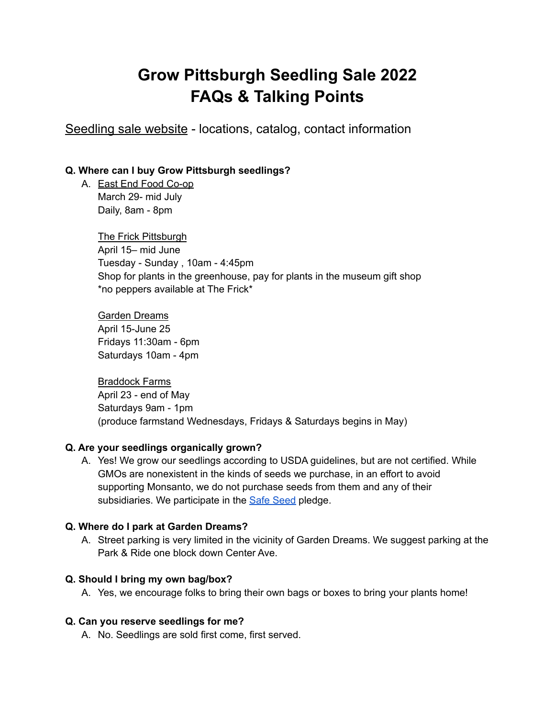# **Grow Pittsburgh Seedling Sale 2022 FAQs & Talking Points**

[Seedling](https://www.growpittsburgh.org/buy-our-goods/seedlingsale/) sale website - locations, catalog, contact information

# **Q. Where can I buy Grow Pittsburgh seedlings?**

A. East End Food [Co-op](https://www.eastendfood.coop/) March 29- mid July Daily, 8am - 8pm

> The Frick [Pittsburgh](https://www.thefrickpittsburgh.org/) April 15– mid June Tuesday - Sunday , 10am - 4:45pm Shop for plants in the greenhouse, pay for plants in the museum gift shop \*no peppers available at The Frick\*

Garden [Dreams](https://www.growpittsburgh.org/about-us/locations/garden-dreams/) April 15-June 25 Fridays 11:30am - 6pm Saturdays 10am - 4pm

[Braddock](https://www.growpittsburgh.org/about-us/locations/braddock-farms/) Farms April 23 - end of May Saturdays 9am - 1pm (produce farmstand Wednesdays, Fridays & Saturdays begins in May)

## **Q. Are your seedlings organically grown?**

A. Yes! We grow our seedlings according to USDA guidelines, but are not certified. While GMOs are nonexistent in the kinds of seeds we purchase, in an effort to avoid supporting Monsanto, we do not purchase seeds from them and any of their subsidiaries. We participate in the **Safe [Seed](http://www.growpittsburgh.org/wp-content/uploads//General-Info-Safe-Seed.pdf) pledge.** 

# **Q. Where do I park at Garden Dreams?**

A. Street parking is very limited in the vicinity of Garden Dreams. We suggest parking at the Park & Ride one block down Center Ave.

# **Q. Should I bring my own bag/box?**

A. Yes, we encourage folks to bring their own bags or boxes to bring your plants home!

## **Q. Can you reserve seedlings for me?**

A. No. Seedlings are sold first come, first served.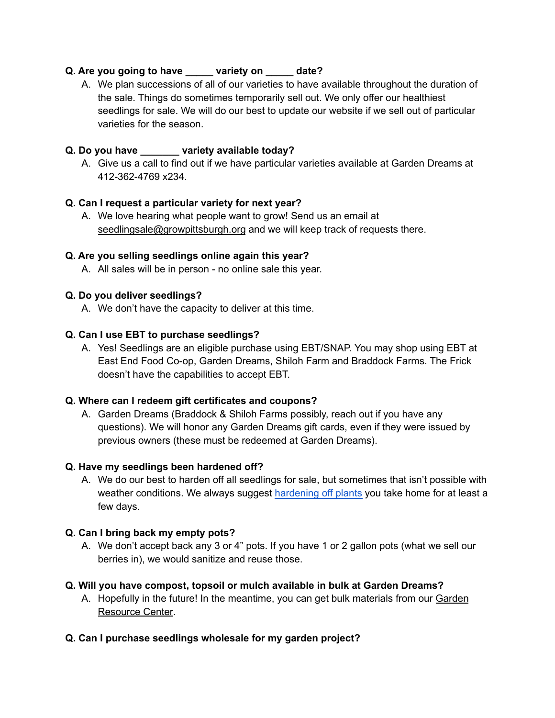# **Q. Are you going to have \_\_\_\_\_ variety on \_\_\_\_\_ date?**

A. We plan successions of all of our varieties to have available throughout the duration of the sale. Things do sometimes temporarily sell out. We only offer our healthiest seedlings for sale. We will do our best to update our website if we sell out of particular varieties for the season.

# **Q. Do you have \_\_\_\_\_\_\_ variety available today?**

A. Give us a call to find out if we have particular varieties available at Garden Dreams at 412-362-4769 x234.

## **Q. Can I request a particular variety for next year?**

A. We love hearing what people want to grow! Send us an email at [seedlingsale@growpittsburgh.org](mailto:seedlingsale@growpittsburgh.org) and we will keep track of requests there.

#### **Q. Are you selling seedlings online again this year?**

A. All sales will be in person - no online sale this year.

## **Q. Do you deliver seedlings?**

A. We don't have the capacity to deliver at this time.

#### **Q. Can I use EBT to purchase seedlings?**

A. Yes! Seedlings are an eligible purchase using EBT/SNAP. You may shop using EBT at East End Food Co-op, Garden Dreams, Shiloh Farm and Braddock Farms. The Frick doesn't have the capabilities to accept EBT.

#### **Q. Where can I redeem gift certificates and coupons?**

A. Garden Dreams (Braddock & Shiloh Farms possibly, reach out if you have any questions). We will honor any Garden Dreams gift cards, even if they were issued by previous owners (these must be redeemed at Garden Dreams).

#### **Q. Have my seedlings been hardened off?**

A. We do our best to harden off all seedlings for sale, but sometimes that isn't possible with weather conditions. We always suggest [hardening](http://www.growpittsburgh.org/wp-content/uploads/How-To-Preparing-Seedlings-for-Planting.pdf) off plants you take home for at least a few days.

## **Q. Can I bring back my empty pots?**

A. We don't accept back any 3 or 4" pots. If you have 1 or 2 gallon pots (what we sell our berries in), we would sanitize and reuse those.

## **Q. Will you have compost, topsoil or mulch available in bulk at Garden Dreams?**

A. Hopefully in the future! In the meantime, you can get bulk materials from our [Garden](https://www.growpittsburgh.org/garden-and-farm-resources/garden-resource-center/) [Resource](https://www.growpittsburgh.org/garden-and-farm-resources/garden-resource-center/) Center.

## **Q. Can I purchase seedlings wholesale for my garden project?**